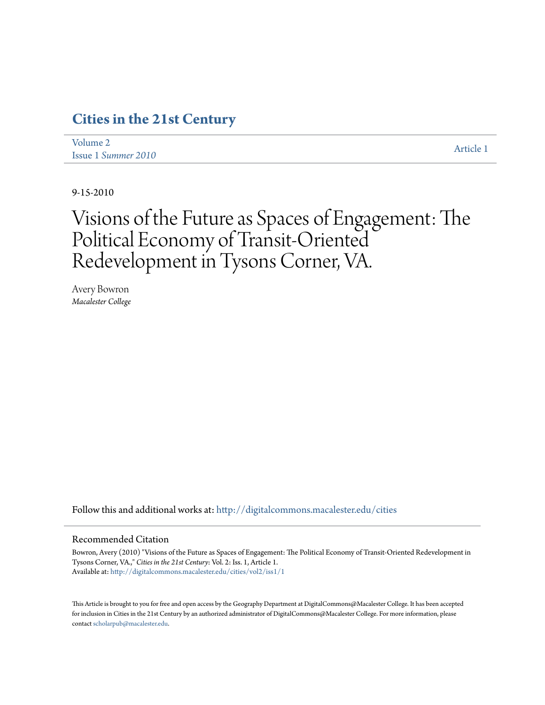# **[Cities in the 21st Century](http://digitalcommons.macalester.edu/cities?utm_source=digitalcommons.macalester.edu%2Fcities%2Fvol2%2Fiss1%2F1&utm_medium=PDF&utm_campaign=PDFCoverPages)**

| Volume 2            | <b>Article 1</b> |
|---------------------|------------------|
| Issue 1 Summer 2010 |                  |

9-15-2010

# Visions of the Future as Spaces of Engagement: The Political Economy of Transit-Oriented Redevelopment in Tysons Corner, VA.

Avery Bowron *Macalester College*

Follow this and additional works at: [http://digitalcommons.macalester.edu/cities](http://digitalcommons.macalester.edu/cities?utm_source=digitalcommons.macalester.edu%2Fcities%2Fvol2%2Fiss1%2F1&utm_medium=PDF&utm_campaign=PDFCoverPages)

#### Recommended Citation

Bowron, Avery (2010) "Visions of the Future as Spaces of Engagement: The Political Economy of Transit-Oriented Redevelopment in Tysons Corner, VA.," *Cities in the 21st Century*: Vol. 2: Iss. 1, Article 1. Available at: [http://digitalcommons.macalester.edu/cities/vol2/iss1/1](http://digitalcommons.macalester.edu/cities/vol2/iss1/1?utm_source=digitalcommons.macalester.edu%2Fcities%2Fvol2%2Fiss1%2F1&utm_medium=PDF&utm_campaign=PDFCoverPages)

This Article is brought to you for free and open access by the Geography Department at DigitalCommons@Macalester College. It has been accepted for inclusion in Cities in the 21st Century by an authorized administrator of DigitalCommons@Macalester College. For more information, please contact [scholarpub@macalester.edu.](mailto:scholarpub@macalester.edu)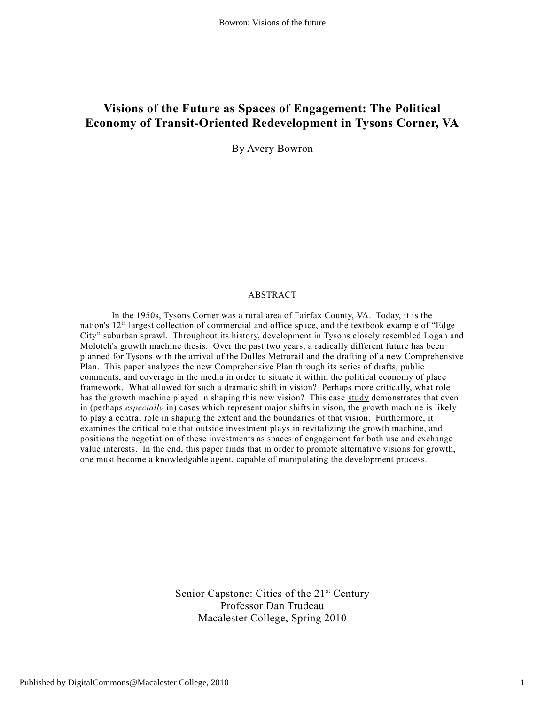### **Visions of the Future as Spaces of Engagement: The Political Economy of Transit-Oriented Redevelopment in Tysons Corner, VA**

By Avery Bowron

#### ABSTRACT

In the 1950s, Tysons Corner was a rural area of Fairfax County, VA. Today, it is the nation's  $12<sup>th</sup>$  largest collection of commercial and office space, and the textbook example of "Edge" City" suburban sprawl. Throughout its history, development in Tysons closely resembled Logan and Molotch's growth machine thesis. Over the past two years, a radically different future has been planned for Tysons with the arrival of the Dulles Metrorail and the drafting of a new Comprehensive Plan. This paper analyzes the new Comprehensive Plan through its series of drafts, public comments, and coverage in the media in order to situate it within the political economy of place framework. What allowed for such a dramatic shift in vision? Perhaps more critically, what role has the growth machine played in shaping this new vision? This case study demonstrates that even in (perhaps *especially* in) cases which represent major shifts in vison, the growth machine is likely to play a central role in shaping the extent and the boundaries of that vision. Furthermore, it examines the critical role that outside investment plays in revitalizing the growth machine, and positions the negotiation of these investments as spaces of engagement for both use and exchange value interests. In the end, this paper finds that in order to promote alternative visions for growth, one must become a knowledgable agent, capable of manipulating the development process.

> Senior Capstone: Cities of the 21<sup>st</sup> Century Professor Dan Trudeau Macalester College, Spring 2010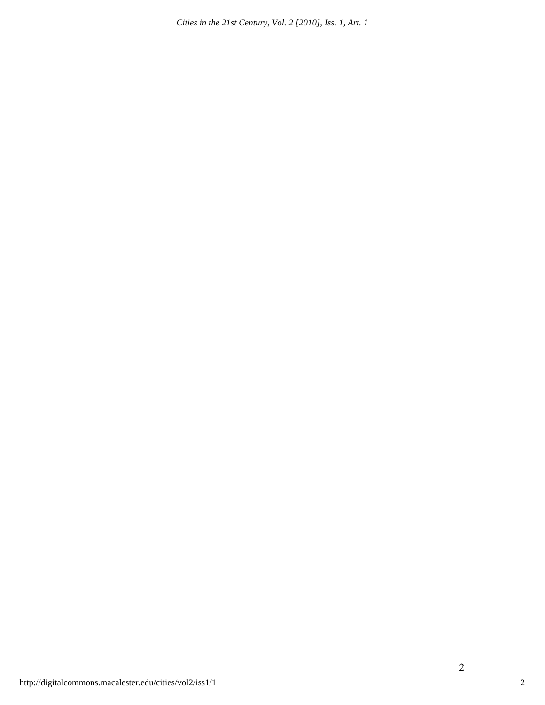*Cities in the 21st Century, Vol. 2 [2010], Iss. 1, Art. 1*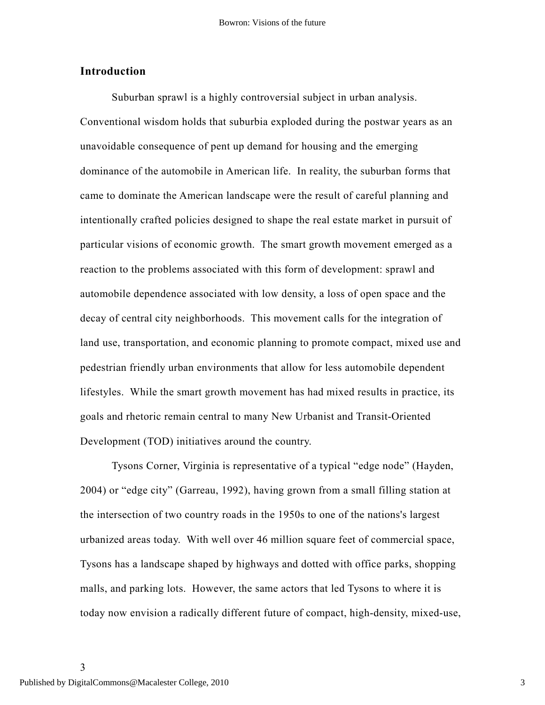#### **Introduction**

Suburban sprawl is a highly controversial subject in urban analysis. Conventional wisdom holds that suburbia exploded during the postwar years as an unavoidable consequence of pent up demand for housing and the emerging dominance of the automobile in American life. In reality, the suburban forms that came to dominate the American landscape were the result of careful planning and intentionally crafted policies designed to shape the real estate market in pursuit of particular visions of economic growth. The smart growth movement emerged as a reaction to the problems associated with this form of development: sprawl and automobile dependence associated with low density, a loss of open space and the decay of central city neighborhoods. This movement calls for the integration of land use, transportation, and economic planning to promote compact, mixed use and pedestrian friendly urban environments that allow for less automobile dependent lifestyles. While the smart growth movement has had mixed results in practice, its goals and rhetoric remain central to many New Urbanist and Transit-Oriented Development (TOD) initiatives around the country.

Tysons Corner, Virginia is representative of a typical "edge node" (Hayden, 2004) or "edge city" (Garreau, 1992), having grown from a small filling station at the intersection of two country roads in the 1950s to one of the nations's largest urbanized areas today. With well over 46 million square feet of commercial space, Tysons has a landscape shaped by highways and dotted with office parks, shopping malls, and parking lots. However, the same actors that led Tysons to where it is today now envision a radically different future of compact, high-density, mixed-use,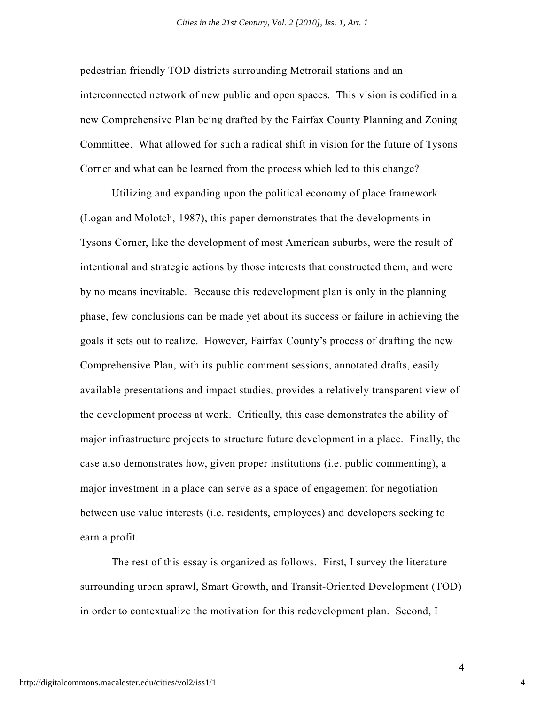pedestrian friendly TOD districts surrounding Metrorail stations and an interconnected network of new public and open spaces. This vision is codified in a new Comprehensive Plan being drafted by the Fairfax County Planning and Zoning Committee. What allowed for such a radical shift in vision for the future of Tysons Corner and what can be learned from the process which led to this change?

Utilizing and expanding upon the political economy of place framework (Logan and Molotch, 1987), this paper demonstrates that the developments in Tysons Corner, like the development of most American suburbs, were the result of intentional and strategic actions by those interests that constructed them, and were by no means inevitable. Because this redevelopment plan is only in the planning phase, few conclusions can be made yet about its success or failure in achieving the goals it sets out to realize. However, Fairfax County's process of drafting the new Comprehensive Plan, with its public comment sessions, annotated drafts, easily available presentations and impact studies, provides a relatively transparent view of the development process at work. Critically, this case demonstrates the ability of major infrastructure projects to structure future development in a place. Finally, the case also demonstrates how, given proper institutions (i.e. public commenting), a major investment in a place can serve as a space of engagement for negotiation between use value interests (i.e. residents, employees) and developers seeking to earn a profit.

The rest of this essay is organized as follows. First, I survey the literature surrounding urban sprawl, Smart Growth, and Transit-Oriented Development (TOD) in order to contextualize the motivation for this redevelopment plan. Second, I

4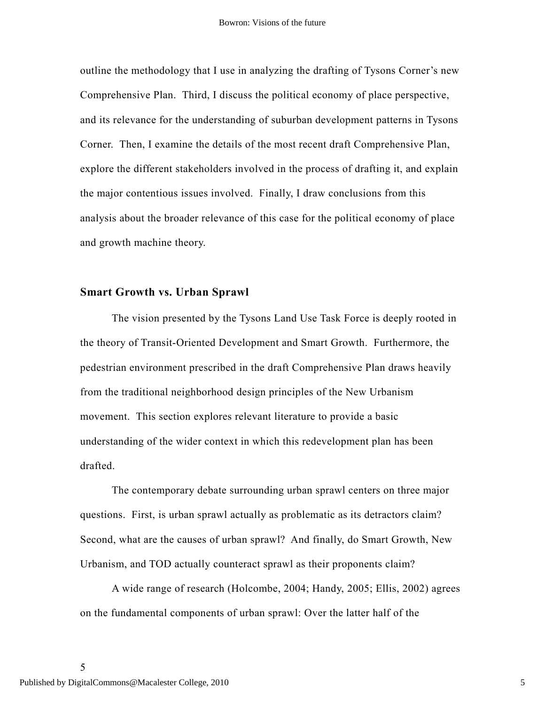outline the methodology that I use in analyzing the drafting of Tysons Corner's new Comprehensive Plan. Third, I discuss the political economy of place perspective, and its relevance for the understanding of suburban development patterns in Tysons Corner. Then, I examine the details of the most recent draft Comprehensive Plan, explore the different stakeholders involved in the process of drafting it, and explain the major contentious issues involved. Finally, I draw conclusions from this analysis about the broader relevance of this case for the political economy of place and growth machine theory.

#### **Smart Growth vs. Urban Sprawl**

The vision presented by the Tysons Land Use Task Force is deeply rooted in the theory of Transit-Oriented Development and Smart Growth. Furthermore, the pedestrian environment prescribed in the draft Comprehensive Plan draws heavily from the traditional neighborhood design principles of the New Urbanism movement. This section explores relevant literature to provide a basic understanding of the wider context in which this redevelopment plan has been drafted.

The contemporary debate surrounding urban sprawl centers on three major questions. First, is urban sprawl actually as problematic as its detractors claim? Second, what are the causes of urban sprawl? And finally, do Smart Growth, New Urbanism, and TOD actually counteract sprawl as their proponents claim?

A wide range of research (Holcombe, 2004; Handy, 2005; Ellis, 2002) agrees on the fundamental components of urban sprawl: Over the latter half of the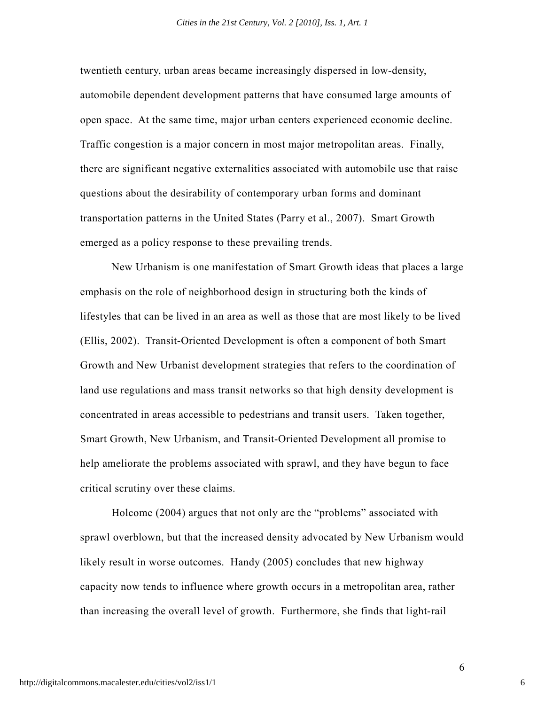twentieth century, urban areas became increasingly dispersed in low-density, automobile dependent development patterns that have consumed large amounts of open space. At the same time, major urban centers experienced economic decline. Traffic congestion is a major concern in most major metropolitan areas. Finally, there are significant negative externalities associated with automobile use that raise questions about the desirability of contemporary urban forms and dominant transportation patterns in the United States (Parry et al., 2007). Smart Growth emerged as a policy response to these prevailing trends.

New Urbanism is one manifestation of Smart Growth ideas that places a large emphasis on the role of neighborhood design in structuring both the kinds of lifestyles that can be lived in an area as well as those that are most likely to be lived (Ellis, 2002). Transit-Oriented Development is often a component of both Smart Growth and New Urbanist development strategies that refers to the coordination of land use regulations and mass transit networks so that high density development is concentrated in areas accessible to pedestrians and transit users. Taken together, Smart Growth, New Urbanism, and Transit-Oriented Development all promise to help ameliorate the problems associated with sprawl, and they have begun to face critical scrutiny over these claims.

Holcome (2004) argues that not only are the "problems" associated with sprawl overblown, but that the increased density advocated by New Urbanism would likely result in worse outcomes. Handy (2005) concludes that new highway capacity now tends to influence where growth occurs in a metropolitan area, rather than increasing the overall level of growth. Furthermore, she finds that light-rail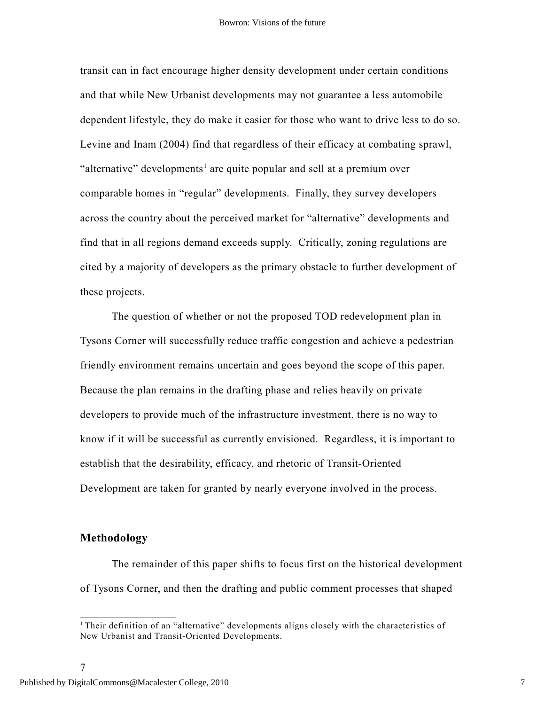transit can in fact encourage higher density development under certain conditions and that while New Urbanist developments may not guarantee a less automobile dependent lifestyle, they do make it easier for those who want to drive less to do so. Levine and Inam (2004) find that regardless of their efficacy at combating sprawl, "alternative" developments<sup>[1](#page-7-0)</sup> are quite popular and sell at a premium over comparable homes in "regular" developments. Finally, they survey developers across the country about the perceived market for "alternative" developments and find that in all regions demand exceeds supply. Critically, zoning regulations are cited by a majority of developers as the primary obstacle to further development of these projects.

The question of whether or not the proposed TOD redevelopment plan in Tysons Corner will successfully reduce traffic congestion and achieve a pedestrian friendly environment remains uncertain and goes beyond the scope of this paper. Because the plan remains in the drafting phase and relies heavily on private developers to provide much of the infrastructure investment, there is no way to know if it will be successful as currently envisioned. Regardless, it is important to establish that the desirability, efficacy, and rhetoric of Transit-Oriented Development are taken for granted by nearly everyone involved in the process.

#### **Methodology**

The remainder of this paper shifts to focus first on the historical development of Tysons Corner, and then the drafting and public comment processes that shaped

<span id="page-7-0"></span><sup>&</sup>lt;sup>1</sup> Their definition of an "alternative" developments aligns closely with the characteristics of New Urbanist and Transit-Oriented Developments.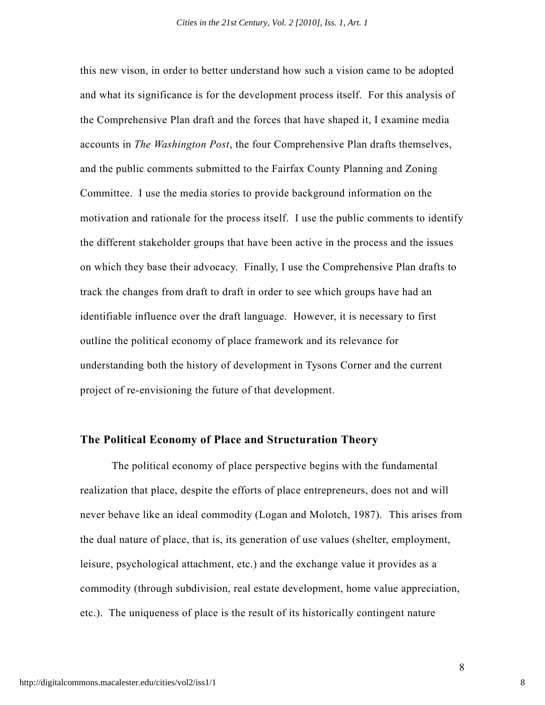this new vison, in order to better understand how such a vision came to be adopted and what its significance is for the development process itself. For this analysis of the Comprehensive Plan draft and the forces that have shaped it, I examine media accounts in *The Washington Post*, the four Comprehensive Plan drafts themselves, and the public comments submitted to the Fairfax County Planning and Zoning Committee. I use the media stories to provide background information on the motivation and rationale for the process itself. I use the public comments to identify the different stakeholder groups that have been active in the process and the issues on which they base their advocacy. Finally, I use the Comprehensive Plan drafts to track the changes from draft to draft in order to see which groups have had an identifiable influence over the draft language. However, it is necessary to first outline the political economy of place framework and its relevance for understanding both the history of development in Tysons Corner and the current project of re-envisioning the future of that development.

#### **The Political Economy of Place and Structuration Theory**

The political economy of place perspective begins with the fundamental realization that place, despite the efforts of place entrepreneurs, does not and will never behave like an ideal commodity (Logan and Molotch, 1987). This arises from the dual nature of place, that is, its generation of use values (shelter, employment, leisure, psychological attachment, etc.) and the exchange value it provides as a commodity (through subdivision, real estate development, home value appreciation, etc.). The uniqueness of place is the result of its historically contingent nature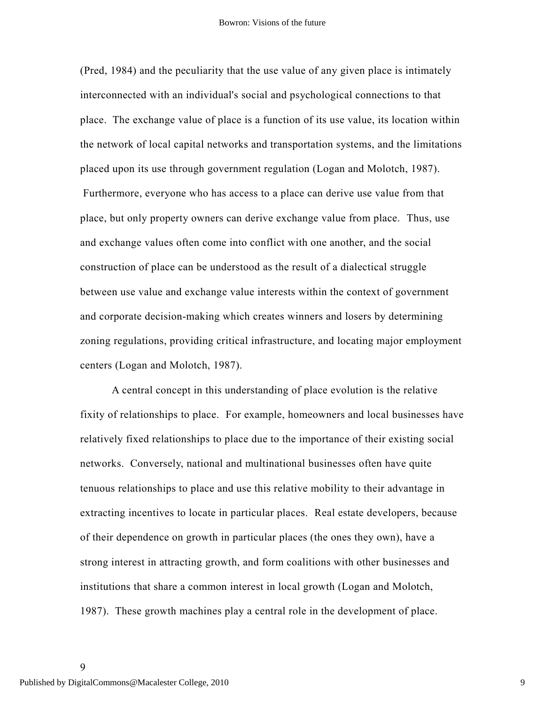(Pred, 1984) and the peculiarity that the use value of any given place is intimately interconnected with an individual's social and psychological connections to that place. The exchange value of place is a function of its use value, its location within the network of local capital networks and transportation systems, and the limitations placed upon its use through government regulation (Logan and Molotch, 1987). Furthermore, everyone who has access to a place can derive use value from that place, but only property owners can derive exchange value from place. Thus, use and exchange values often come into conflict with one another, and the social construction of place can be understood as the result of a dialectical struggle between use value and exchange value interests within the context of government and corporate decision-making which creates winners and losers by determining zoning regulations, providing critical infrastructure, and locating major employment centers (Logan and Molotch, 1987).

A central concept in this understanding of place evolution is the relative fixity of relationships to place. For example, homeowners and local businesses have relatively fixed relationships to place due to the importance of their existing social networks. Conversely, national and multinational businesses often have quite tenuous relationships to place and use this relative mobility to their advantage in extracting incentives to locate in particular places. Real estate developers, because of their dependence on growth in particular places (the ones they own), have a strong interest in attracting growth, and form coalitions with other businesses and institutions that share a common interest in local growth (Logan and Molotch, 1987). These growth machines play a central role in the development of place.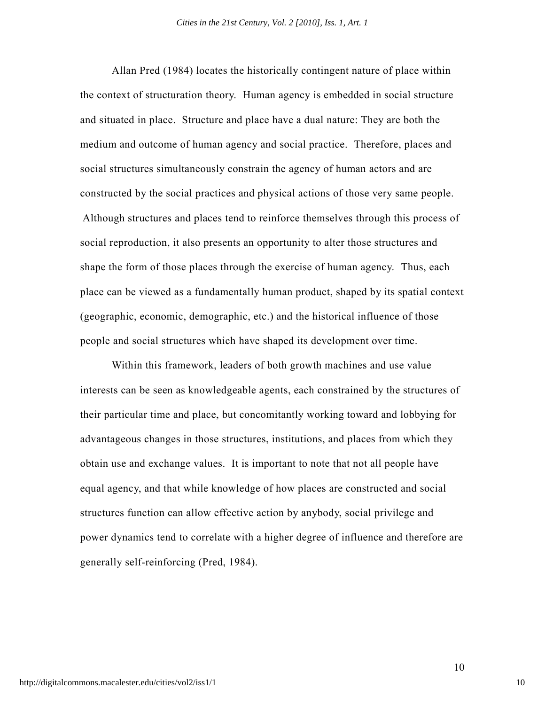Allan Pred (1984) locates the historically contingent nature of place within the context of structuration theory. Human agency is embedded in social structure and situated in place. Structure and place have a dual nature: They are both the medium and outcome of human agency and social practice. Therefore, places and social structures simultaneously constrain the agency of human actors and are constructed by the social practices and physical actions of those very same people. Although structures and places tend to reinforce themselves through this process of social reproduction, it also presents an opportunity to alter those structures and shape the form of those places through the exercise of human agency. Thus, each place can be viewed as a fundamentally human product, shaped by its spatial context (geographic, economic, demographic, etc.) and the historical influence of those people and social structures which have shaped its development over time.

Within this framework, leaders of both growth machines and use value interests can be seen as knowledgeable agents, each constrained by the structures of their particular time and place, but concomitantly working toward and lobbying for advantageous changes in those structures, institutions, and places from which they obtain use and exchange values. It is important to note that not all people have equal agency, and that while knowledge of how places are constructed and social structures function can allow effective action by anybody, social privilege and power dynamics tend to correlate with a higher degree of influence and therefore are generally self-reinforcing (Pred, 1984).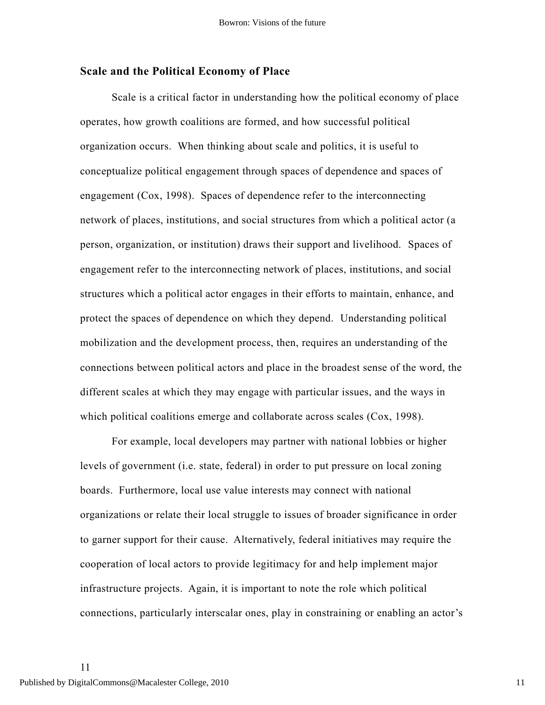#### **Scale and the Political Economy of Place**

Scale is a critical factor in understanding how the political economy of place operates, how growth coalitions are formed, and how successful political organization occurs. When thinking about scale and politics, it is useful to conceptualize political engagement through spaces of dependence and spaces of engagement (Cox, 1998). Spaces of dependence refer to the interconnecting network of places, institutions, and social structures from which a political actor (a person, organization, or institution) draws their support and livelihood. Spaces of engagement refer to the interconnecting network of places, institutions, and social structures which a political actor engages in their efforts to maintain, enhance, and protect the spaces of dependence on which they depend. Understanding political mobilization and the development process, then, requires an understanding of the connections between political actors and place in the broadest sense of the word, the different scales at which they may engage with particular issues, and the ways in which political coalitions emerge and collaborate across scales (Cox, 1998).

For example, local developers may partner with national lobbies or higher levels of government (i.e. state, federal) in order to put pressure on local zoning boards. Furthermore, local use value interests may connect with national organizations or relate their local struggle to issues of broader significance in order to garner support for their cause. Alternatively, federal initiatives may require the cooperation of local actors to provide legitimacy for and help implement major infrastructure projects. Again, it is important to note the role which political connections, particularly interscalar ones, play in constraining or enabling an actor's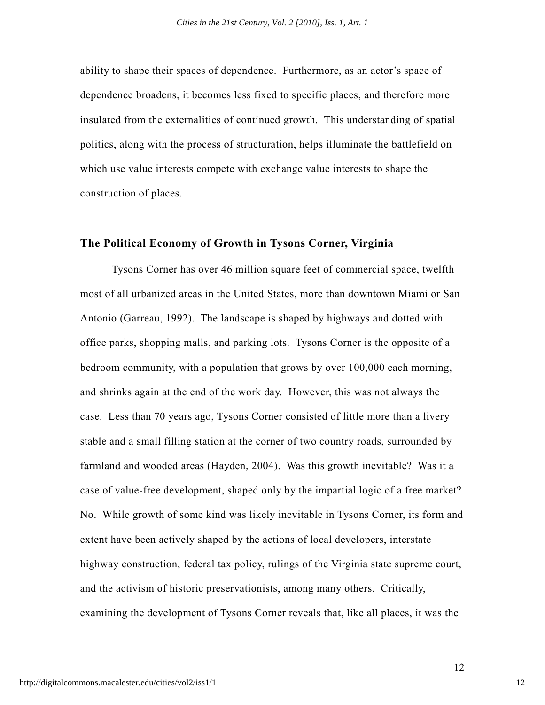ability to shape their spaces of dependence. Furthermore, as an actor's space of dependence broadens, it becomes less fixed to specific places, and therefore more insulated from the externalities of continued growth. This understanding of spatial politics, along with the process of structuration, helps illuminate the battlefield on which use value interests compete with exchange value interests to shape the construction of places.

#### **The Political Economy of Growth in Tysons Corner, Virginia**

Tysons Corner has over 46 million square feet of commercial space, twelfth most of all urbanized areas in the United States, more than downtown Miami or San Antonio (Garreau, 1992). The landscape is shaped by highways and dotted with office parks, shopping malls, and parking lots. Tysons Corner is the opposite of a bedroom community, with a population that grows by over 100,000 each morning, and shrinks again at the end of the work day. However, this was not always the case. Less than 70 years ago, Tysons Corner consisted of little more than a livery stable and a small filling station at the corner of two country roads, surrounded by farmland and wooded areas (Hayden, 2004). Was this growth inevitable? Was it a case of value-free development, shaped only by the impartial logic of a free market? No. While growth of some kind was likely inevitable in Tysons Corner, its form and extent have been actively shaped by the actions of local developers, interstate highway construction, federal tax policy, rulings of the Virginia state supreme court, and the activism of historic preservationists, among many others. Critically, examining the development of Tysons Corner reveals that, like all places, it was the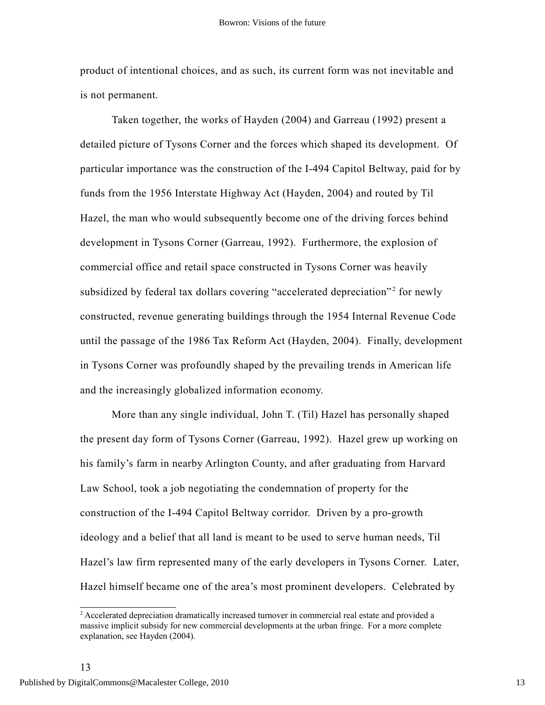product of intentional choices, and as such, its current form was not inevitable and is not permanent.

Taken together, the works of Hayden (2004) and Garreau (1992) present a detailed picture of Tysons Corner and the forces which shaped its development. Of particular importance was the construction of the I-494 Capitol Beltway, paid for by funds from the 1956 Interstate Highway Act (Hayden, 2004) and routed by Til Hazel, the man who would subsequently become one of the driving forces behind development in Tysons Corner (Garreau, 1992). Furthermore, the explosion of commercial office and retail space constructed in Tysons Corner was heavily subsidized by federal tax dollars covering "accelerated depreciation"<sup>[2](#page-13-0)</sup> for newly constructed, revenue generating buildings through the 1954 Internal Revenue Code until the passage of the 1986 Tax Reform Act (Hayden, 2004). Finally, development in Tysons Corner was profoundly shaped by the prevailing trends in American life and the increasingly globalized information economy.

More than any single individual, John T. (Til) Hazel has personally shaped the present day form of Tysons Corner (Garreau, 1992). Hazel grew up working on his family's farm in nearby Arlington County, and after graduating from Harvard Law School, took a job negotiating the condemnation of property for the construction of the I-494 Capitol Beltway corridor. Driven by a pro-growth ideology and a belief that all land is meant to be used to serve human needs, Til Hazel's law firm represented many of the early developers in Tysons Corner. Later, Hazel himself became one of the area's most prominent developers. Celebrated by

<span id="page-13-0"></span><sup>&</sup>lt;sup>2</sup> Accelerated depreciation dramatically increased turnover in commercial real estate and provided a massive implicit subsidy for new commercial developments at the urban fringe. For a more complete explanation, see Hayden (2004).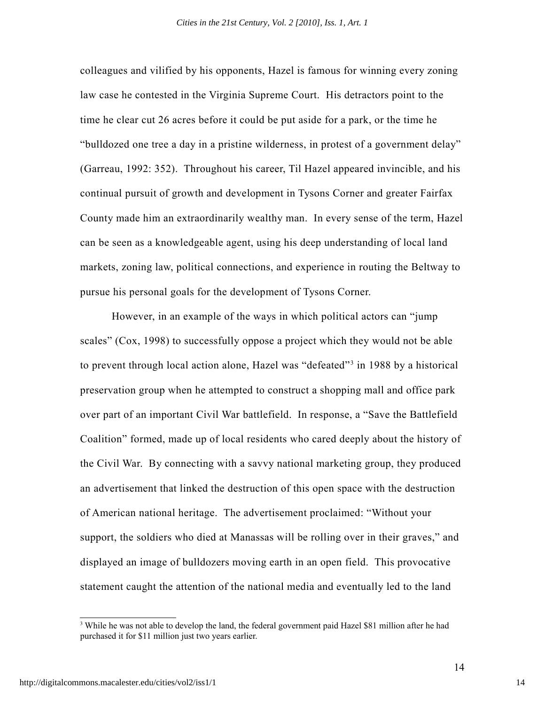colleagues and vilified by his opponents, Hazel is famous for winning every zoning law case he contested in the Virginia Supreme Court. His detractors point to the time he clear cut 26 acres before it could be put aside for a park, or the time he "bulldozed one tree a day in a pristine wilderness, in protest of a government delay" (Garreau, 1992: 352). Throughout his career, Til Hazel appeared invincible, and his continual pursuit of growth and development in Tysons Corner and greater Fairfax County made him an extraordinarily wealthy man. In every sense of the term, Hazel can be seen as a knowledgeable agent, using his deep understanding of local land markets, zoning law, political connections, and experience in routing the Beltway to pursue his personal goals for the development of Tysons Corner.

However, in an example of the ways in which political actors can "jump scales" (Cox, 1998) to successfully oppose a project which they would not be able to prevent through local action alone, Hazel was "defeated"<sup>[3](#page-14-0)</sup> in 1988 by a historical preservation group when he attempted to construct a shopping mall and office park over part of an important Civil War battlefield. In response, a "Save the Battlefield Coalition" formed, made up of local residents who cared deeply about the history of the Civil War. By connecting with a savvy national marketing group, they produced an advertisement that linked the destruction of this open space with the destruction of American national heritage. The advertisement proclaimed: "Without your support, the soldiers who died at Manassas will be rolling over in their graves," and displayed an image of bulldozers moving earth in an open field. This provocative statement caught the attention of the national media and eventually led to the land

<span id="page-14-0"></span><sup>&</sup>lt;sup>3</sup> While he was not able to develop the land, the federal government paid Hazel \$81 million after he had purchased it for \$11 million just two years earlier.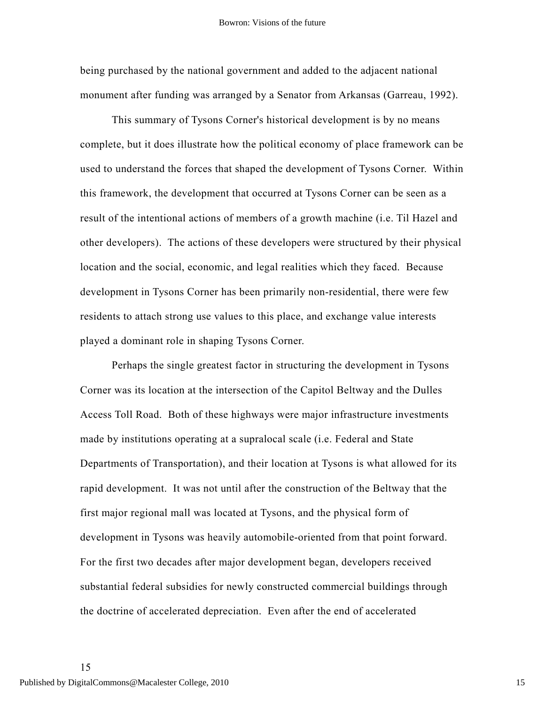being purchased by the national government and added to the adjacent national monument after funding was arranged by a Senator from Arkansas (Garreau, 1992).

This summary of Tysons Corner's historical development is by no means complete, but it does illustrate how the political economy of place framework can be used to understand the forces that shaped the development of Tysons Corner. Within this framework, the development that occurred at Tysons Corner can be seen as a result of the intentional actions of members of a growth machine (i.e. Til Hazel and other developers). The actions of these developers were structured by their physical location and the social, economic, and legal realities which they faced. Because development in Tysons Corner has been primarily non-residential, there were few residents to attach strong use values to this place, and exchange value interests played a dominant role in shaping Tysons Corner.

Perhaps the single greatest factor in structuring the development in Tysons Corner was its location at the intersection of the Capitol Beltway and the Dulles Access Toll Road. Both of these highways were major infrastructure investments made by institutions operating at a supralocal scale (i.e. Federal and State Departments of Transportation), and their location at Tysons is what allowed for its rapid development. It was not until after the construction of the Beltway that the first major regional mall was located at Tysons, and the physical form of development in Tysons was heavily automobile-oriented from that point forward. For the first two decades after major development began, developers received substantial federal subsidies for newly constructed commercial buildings through the doctrine of accelerated depreciation. Even after the end of accelerated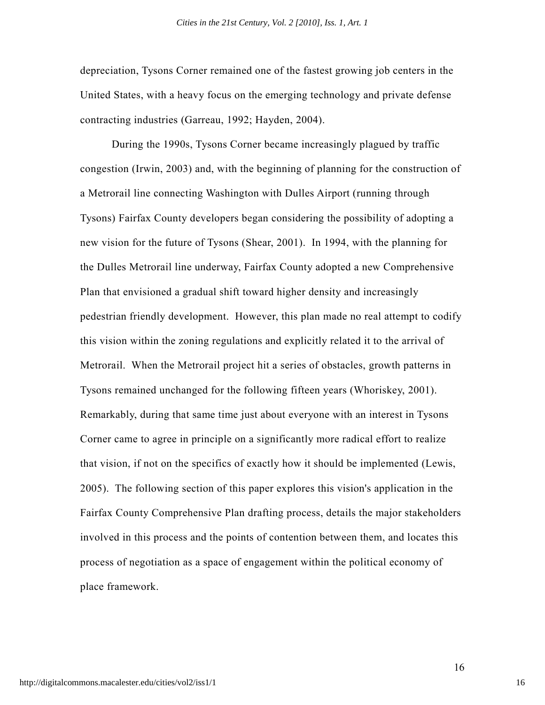depreciation, Tysons Corner remained one of the fastest growing job centers in the United States, with a heavy focus on the emerging technology and private defense contracting industries (Garreau, 1992; Hayden, 2004).

During the 1990s, Tysons Corner became increasingly plagued by traffic congestion (Irwin, 2003) and, with the beginning of planning for the construction of a Metrorail line connecting Washington with Dulles Airport (running through Tysons) Fairfax County developers began considering the possibility of adopting a new vision for the future of Tysons (Shear, 2001). In 1994, with the planning for the Dulles Metrorail line underway, Fairfax County adopted a new Comprehensive Plan that envisioned a gradual shift toward higher density and increasingly pedestrian friendly development. However, this plan made no real attempt to codify this vision within the zoning regulations and explicitly related it to the arrival of Metrorail. When the Metrorail project hit a series of obstacles, growth patterns in Tysons remained unchanged for the following fifteen years (Whoriskey, 2001). Remarkably, during that same time just about everyone with an interest in Tysons Corner came to agree in principle on a significantly more radical effort to realize that vision, if not on the specifics of exactly how it should be implemented (Lewis, 2005). The following section of this paper explores this vision's application in the Fairfax County Comprehensive Plan drafting process, details the major stakeholders involved in this process and the points of contention between them, and locates this process of negotiation as a space of engagement within the political economy of place framework.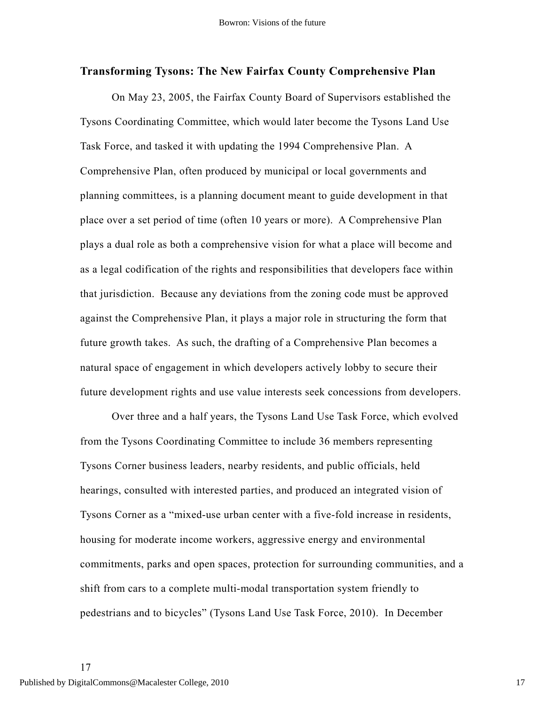#### **Transforming Tysons: The New Fairfax County Comprehensive Plan**

On May 23, 2005, the Fairfax County Board of Supervisors established the Tysons Coordinating Committee, which would later become the Tysons Land Use Task Force, and tasked it with updating the 1994 Comprehensive Plan. A Comprehensive Plan, often produced by municipal or local governments and planning committees, is a planning document meant to guide development in that place over a set period of time (often 10 years or more). A Comprehensive Plan plays a dual role as both a comprehensive vision for what a place will become and as a legal codification of the rights and responsibilities that developers face within that jurisdiction. Because any deviations from the zoning code must be approved against the Comprehensive Plan, it plays a major role in structuring the form that future growth takes. As such, the drafting of a Comprehensive Plan becomes a natural space of engagement in which developers actively lobby to secure their future development rights and use value interests seek concessions from developers.

Over three and a half years, the Tysons Land Use Task Force, which evolved from the Tysons Coordinating Committee to include 36 members representing Tysons Corner business leaders, nearby residents, and public officials, held hearings, consulted with interested parties, and produced an integrated vision of Tysons Corner as a "mixed-use urban center with a five-fold increase in residents, housing for moderate income workers, aggressive energy and environmental commitments, parks and open spaces, protection for surrounding communities, and a shift from cars to a complete multi-modal transportation system friendly to pedestrians and to bicycles" (Tysons Land Use Task Force, 2010). In December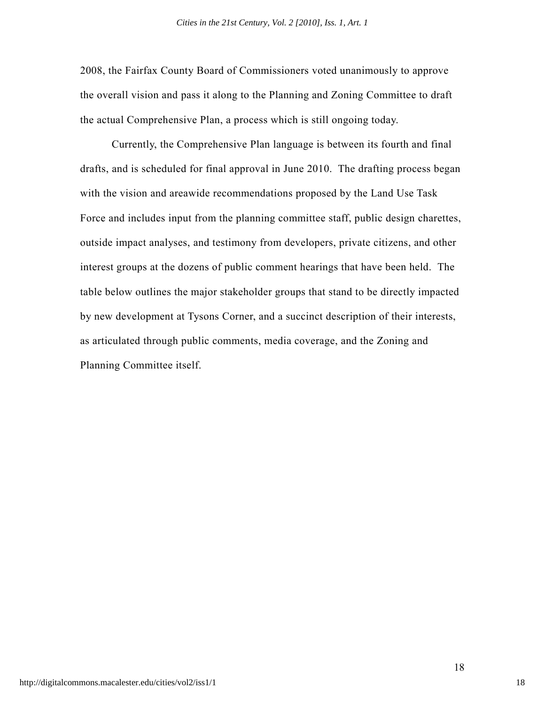2008, the Fairfax County Board of Commissioners voted unanimously to approve the overall vision and pass it along to the Planning and Zoning Committee to draft the actual Comprehensive Plan, a process which is still ongoing today.

Currently, the Comprehensive Plan language is between its fourth and final drafts, and is scheduled for final approval in June 2010. The drafting process began with the vision and areawide recommendations proposed by the Land Use Task Force and includes input from the planning committee staff, public design charettes, outside impact analyses, and testimony from developers, private citizens, and other interest groups at the dozens of public comment hearings that have been held. The table below outlines the major stakeholder groups that stand to be directly impacted by new development at Tysons Corner, and a succinct description of their interests, as articulated through public comments, media coverage, and the Zoning and Planning Committee itself.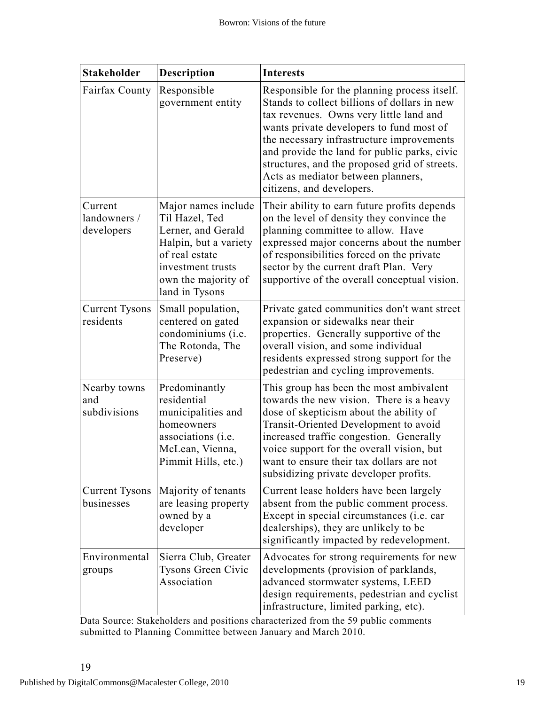| <b>Stakeholder</b>                    | <b>Description</b>                                                                                                                                                   | <b>Interests</b>                                                                                                                                                                                                                                                                                                                                                                                     |
|---------------------------------------|----------------------------------------------------------------------------------------------------------------------------------------------------------------------|------------------------------------------------------------------------------------------------------------------------------------------------------------------------------------------------------------------------------------------------------------------------------------------------------------------------------------------------------------------------------------------------------|
| <b>Fairfax County</b>                 | Responsible<br>government entity                                                                                                                                     | Responsible for the planning process itself.<br>Stands to collect billions of dollars in new<br>tax revenues. Owns very little land and<br>wants private developers to fund most of<br>the necessary infrastructure improvements<br>and provide the land for public parks, civic<br>structures, and the proposed grid of streets.<br>Acts as mediator between planners,<br>citizens, and developers. |
| Current<br>landowners /<br>developers | Major names include<br>Til Hazel, Ted<br>Lerner, and Gerald<br>Halpin, but a variety<br>of real estate<br>investment trusts<br>own the majority of<br>land in Tysons | Their ability to earn future profits depends<br>on the level of density they convince the<br>planning committee to allow. Have<br>expressed major concerns about the number<br>of responsibilities forced on the private<br>sector by the current draft Plan. Very<br>supportive of the overall conceptual vision.                                                                                   |
| <b>Current Tysons</b><br>residents    | Small population,<br>centered on gated<br>condominiums (i.e.<br>The Rotonda, The<br>Preserve)                                                                        | Private gated communities don't want street<br>expansion or sidewalks near their<br>properties. Generally supportive of the<br>overall vision, and some individual<br>residents expressed strong support for the<br>pedestrian and cycling improvements.                                                                                                                                             |
| Nearby towns<br>and<br>subdivisions   | Predominantly<br>residential<br>municipalities and<br>homeowners<br>associations (i.e.<br>McLean, Vienna,<br>Pimmit Hills, etc.)                                     | This group has been the most ambivalent<br>towards the new vision. There is a heavy<br>dose of skepticism about the ability of<br>Transit-Oriented Development to avoid<br>increased traffic congestion. Generally<br>voice support for the overall vision, but<br>want to ensure their tax dollars are not<br>subsidizing private developer profits.                                                |
| <b>Current Tysons</b><br>businesses   | Majority of tenants<br>are leasing property<br>owned by a<br>developer                                                                                               | Current lease holders have been largely<br>absent from the public comment process.<br>Except in special circumstances (i.e. car<br>dealerships), they are unlikely to be<br>significantly impacted by redevelopment.                                                                                                                                                                                 |
| Environmental<br>groups               | Sierra Club, Greater<br>Tysons Green Civic<br>Association                                                                                                            | Advocates for strong requirements for new<br>developments (provision of parklands,<br>advanced stormwater systems, LEED<br>design requirements, pedestrian and cyclist<br>infrastructure, limited parking, etc).                                                                                                                                                                                     |

Data Source: Stakeholders and positions characterized from the 59 public comments submitted to Planning Committee between January and March 2010.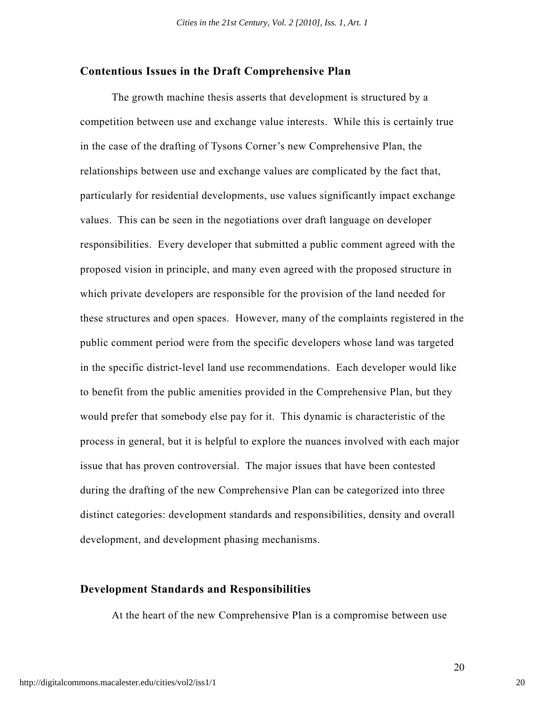#### **Contentious Issues in the Draft Comprehensive Plan**

The growth machine thesis asserts that development is structured by a competition between use and exchange value interests. While this is certainly true in the case of the drafting of Tysons Corner's new Comprehensive Plan, the relationships between use and exchange values are complicated by the fact that, particularly for residential developments, use values significantly impact exchange values. This can be seen in the negotiations over draft language on developer responsibilities. Every developer that submitted a public comment agreed with the proposed vision in principle, and many even agreed with the proposed structure in which private developers are responsible for the provision of the land needed for these structures and open spaces. However, many of the complaints registered in the public comment period were from the specific developers whose land was targeted in the specific district-level land use recommendations. Each developer would like to benefit from the public amenities provided in the Comprehensive Plan, but they would prefer that somebody else pay for it. This dynamic is characteristic of the process in general, but it is helpful to explore the nuances involved with each major issue that has proven controversial. The major issues that have been contested during the drafting of the new Comprehensive Plan can be categorized into three distinct categories: development standards and responsibilities, density and overall development, and development phasing mechanisms.

#### **Development Standards and Responsibilities**

At the heart of the new Comprehensive Plan is a compromise between use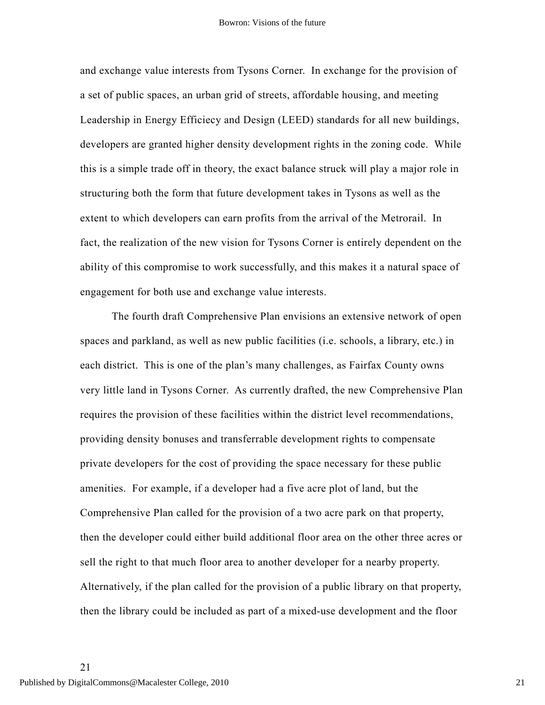and exchange value interests from Tysons Corner. In exchange for the provision of a set of public spaces, an urban grid of streets, affordable housing, and meeting Leadership in Energy Efficiecy and Design (LEED) standards for all new buildings, developers are granted higher density development rights in the zoning code. While this is a simple trade off in theory, the exact balance struck will play a major role in structuring both the form that future development takes in Tysons as well as the extent to which developers can earn profits from the arrival of the Metrorail. In fact, the realization of the new vision for Tysons Corner is entirely dependent on the ability of this compromise to work successfully, and this makes it a natural space of engagement for both use and exchange value interests.

The fourth draft Comprehensive Plan envisions an extensive network of open spaces and parkland, as well as new public facilities (i.e. schools, a library, etc.) in each district. This is one of the plan's many challenges, as Fairfax County owns very little land in Tysons Corner. As currently drafted, the new Comprehensive Plan requires the provision of these facilities within the district level recommendations, providing density bonuses and transferrable development rights to compensate private developers for the cost of providing the space necessary for these public amenities. For example, if a developer had a five acre plot of land, but the Comprehensive Plan called for the provision of a two acre park on that property, then the developer could either build additional floor area on the other three acres or sell the right to that much floor area to another developer for a nearby property. Alternatively, if the plan called for the provision of a public library on that property, then the library could be included as part of a mixed-use development and the floor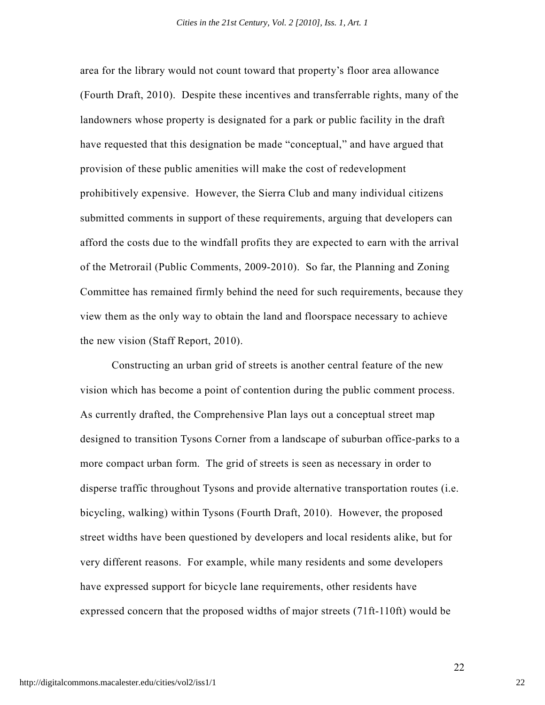area for the library would not count toward that property's floor area allowance (Fourth Draft, 2010). Despite these incentives and transferrable rights, many of the landowners whose property is designated for a park or public facility in the draft have requested that this designation be made "conceptual," and have argued that provision of these public amenities will make the cost of redevelopment prohibitively expensive. However, the Sierra Club and many individual citizens submitted comments in support of these requirements, arguing that developers can afford the costs due to the windfall profits they are expected to earn with the arrival of the Metrorail (Public Comments, 2009-2010). So far, the Planning and Zoning Committee has remained firmly behind the need for such requirements, because they view them as the only way to obtain the land and floorspace necessary to achieve the new vision (Staff Report, 2010).

Constructing an urban grid of streets is another central feature of the new vision which has become a point of contention during the public comment process. As currently drafted, the Comprehensive Plan lays out a conceptual street map designed to transition Tysons Corner from a landscape of suburban office-parks to a more compact urban form. The grid of streets is seen as necessary in order to disperse traffic throughout Tysons and provide alternative transportation routes (i.e. bicycling, walking) within Tysons (Fourth Draft, 2010). However, the proposed street widths have been questioned by developers and local residents alike, but for very different reasons. For example, while many residents and some developers have expressed support for bicycle lane requirements, other residents have expressed concern that the proposed widths of major streets (71ft-110ft) would be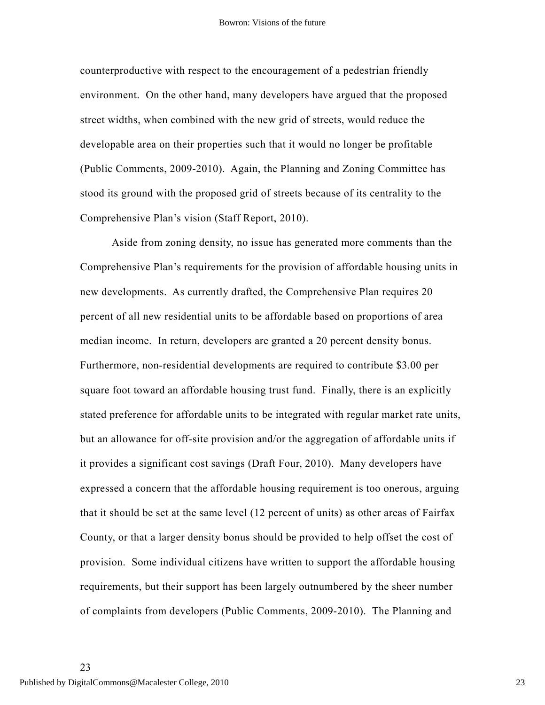counterproductive with respect to the encouragement of a pedestrian friendly environment. On the other hand, many developers have argued that the proposed street widths, when combined with the new grid of streets, would reduce the developable area on their properties such that it would no longer be profitable (Public Comments, 2009-2010). Again, the Planning and Zoning Committee has stood its ground with the proposed grid of streets because of its centrality to the Comprehensive Plan's vision (Staff Report, 2010).

Aside from zoning density, no issue has generated more comments than the Comprehensive Plan's requirements for the provision of affordable housing units in new developments. As currently drafted, the Comprehensive Plan requires 20 percent of all new residential units to be affordable based on proportions of area median income. In return, developers are granted a 20 percent density bonus. Furthermore, non-residential developments are required to contribute \$3.00 per square foot toward an affordable housing trust fund. Finally, there is an explicitly stated preference for affordable units to be integrated with regular market rate units, but an allowance for off-site provision and/or the aggregation of affordable units if it provides a significant cost savings (Draft Four, 2010). Many developers have expressed a concern that the affordable housing requirement is too onerous, arguing that it should be set at the same level (12 percent of units) as other areas of Fairfax County, or that a larger density bonus should be provided to help offset the cost of provision. Some individual citizens have written to support the affordable housing requirements, but their support has been largely outnumbered by the sheer number of complaints from developers (Public Comments, 2009-2010). The Planning and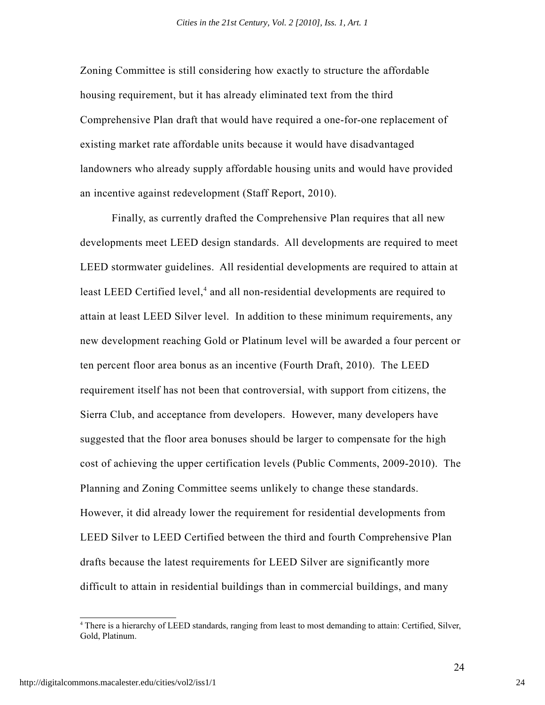Zoning Committee is still considering how exactly to structure the affordable housing requirement, but it has already eliminated text from the third Comprehensive Plan draft that would have required a one-for-one replacement of existing market rate affordable units because it would have disadvantaged landowners who already supply affordable housing units and would have provided an incentive against redevelopment (Staff Report, 2010).

Finally, as currently drafted the Comprehensive Plan requires that all new developments meet LEED design standards. All developments are required to meet LEED stormwater guidelines. All residential developments are required to attain at least LEED Certified level,<sup>[4](#page-24-0)</sup> and all non-residential developments are required to attain at least LEED Silver level. In addition to these minimum requirements, any new development reaching Gold or Platinum level will be awarded a four percent or ten percent floor area bonus as an incentive (Fourth Draft, 2010). The LEED requirement itself has not been that controversial, with support from citizens, the Sierra Club, and acceptance from developers. However, many developers have suggested that the floor area bonuses should be larger to compensate for the high cost of achieving the upper certification levels (Public Comments, 2009-2010). The Planning and Zoning Committee seems unlikely to change these standards. However, it did already lower the requirement for residential developments from LEED Silver to LEED Certified between the third and fourth Comprehensive Plan drafts because the latest requirements for LEED Silver are significantly more difficult to attain in residential buildings than in commercial buildings, and many

<span id="page-24-0"></span><sup>4</sup> There is a hierarchy of LEED standards, ranging from least to most demanding to attain: Certified, Silver, Gold, Platinum.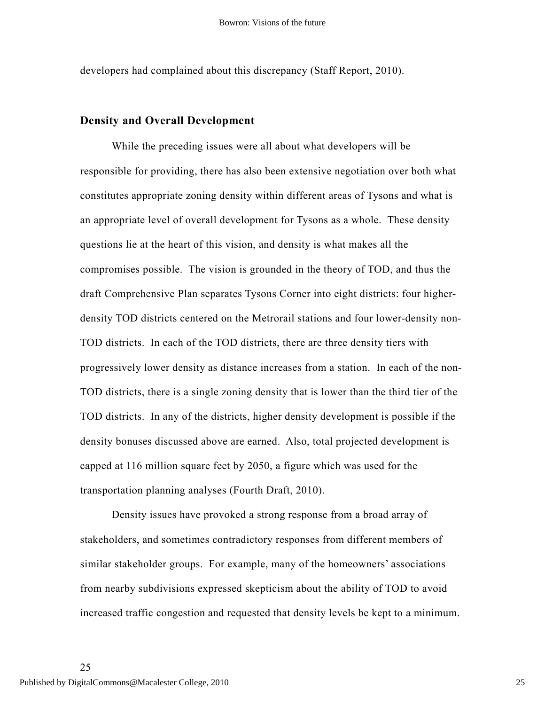developers had complained about this discrepancy (Staff Report, 2010).

#### **Density and Overall Development**

While the preceding issues were all about what developers will be responsible for providing, there has also been extensive negotiation over both what constitutes appropriate zoning density within different areas of Tysons and what is an appropriate level of overall development for Tysons as a whole. These density questions lie at the heart of this vision, and density is what makes all the compromises possible. The vision is grounded in the theory of TOD, and thus the draft Comprehensive Plan separates Tysons Corner into eight districts: four higherdensity TOD districts centered on the Metrorail stations and four lower-density non-TOD districts. In each of the TOD districts, there are three density tiers with progressively lower density as distance increases from a station. In each of the non-TOD districts, there is a single zoning density that is lower than the third tier of the TOD districts. In any of the districts, higher density development is possible if the density bonuses discussed above are earned. Also, total projected development is capped at 116 million square feet by 2050, a figure which was used for the transportation planning analyses (Fourth Draft, 2010).

Density issues have provoked a strong response from a broad array of stakeholders, and sometimes contradictory responses from different members of similar stakeholder groups. For example, many of the homeowners' associations from nearby subdivisions expressed skepticism about the ability of TOD to avoid increased traffic congestion and requested that density levels be kept to a minimum.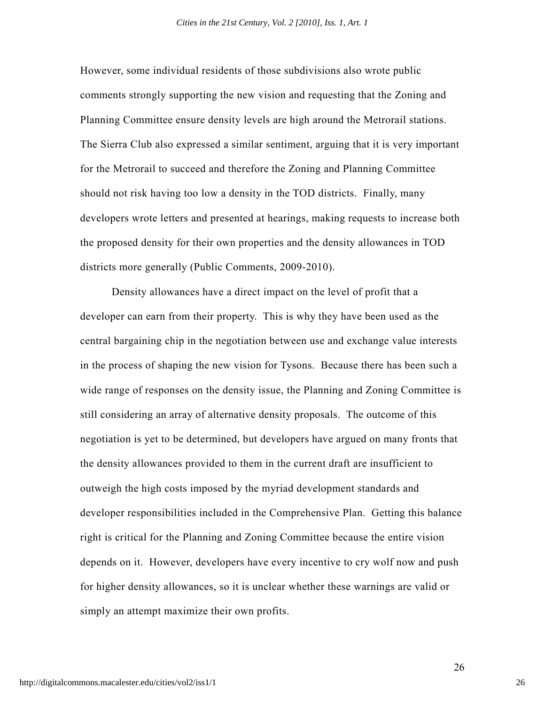However, some individual residents of those subdivisions also wrote public comments strongly supporting the new vision and requesting that the Zoning and Planning Committee ensure density levels are high around the Metrorail stations. The Sierra Club also expressed a similar sentiment, arguing that it is very important for the Metrorail to succeed and therefore the Zoning and Planning Committee should not risk having too low a density in the TOD districts. Finally, many developers wrote letters and presented at hearings, making requests to increase both the proposed density for their own properties and the density allowances in TOD districts more generally (Public Comments, 2009-2010).

Density allowances have a direct impact on the level of profit that a developer can earn from their property. This is why they have been used as the central bargaining chip in the negotiation between use and exchange value interests in the process of shaping the new vision for Tysons. Because there has been such a wide range of responses on the density issue, the Planning and Zoning Committee is still considering an array of alternative density proposals. The outcome of this negotiation is yet to be determined, but developers have argued on many fronts that the density allowances provided to them in the current draft are insufficient to outweigh the high costs imposed by the myriad development standards and developer responsibilities included in the Comprehensive Plan. Getting this balance right is critical for the Planning and Zoning Committee because the entire vision depends on it. However, developers have every incentive to cry wolf now and push for higher density allowances, so it is unclear whether these warnings are valid or simply an attempt maximize their own profits.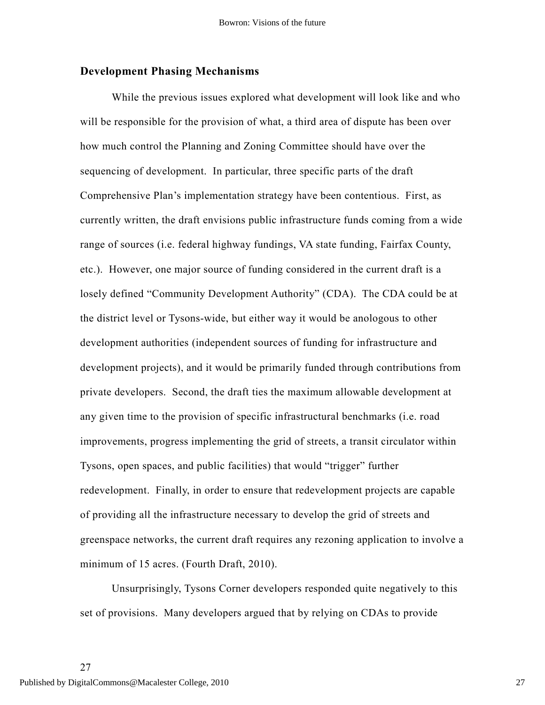#### **Development Phasing Mechanisms**

While the previous issues explored what development will look like and who will be responsible for the provision of what, a third area of dispute has been over how much control the Planning and Zoning Committee should have over the sequencing of development. In particular, three specific parts of the draft Comprehensive Plan's implementation strategy have been contentious. First, as currently written, the draft envisions public infrastructure funds coming from a wide range of sources (i.e. federal highway fundings, VA state funding, Fairfax County, etc.). However, one major source of funding considered in the current draft is a losely defined "Community Development Authority" (CDA). The CDA could be at the district level or Tysons-wide, but either way it would be anologous to other development authorities (independent sources of funding for infrastructure and development projects), and it would be primarily funded through contributions from private developers. Second, the draft ties the maximum allowable development at any given time to the provision of specific infrastructural benchmarks (i.e. road improvements, progress implementing the grid of streets, a transit circulator within Tysons, open spaces, and public facilities) that would "trigger" further redevelopment. Finally, in order to ensure that redevelopment projects are capable of providing all the infrastructure necessary to develop the grid of streets and greenspace networks, the current draft requires any rezoning application to involve a minimum of 15 acres. (Fourth Draft, 2010).

Unsurprisingly, Tysons Corner developers responded quite negatively to this set of provisions. Many developers argued that by relying on CDAs to provide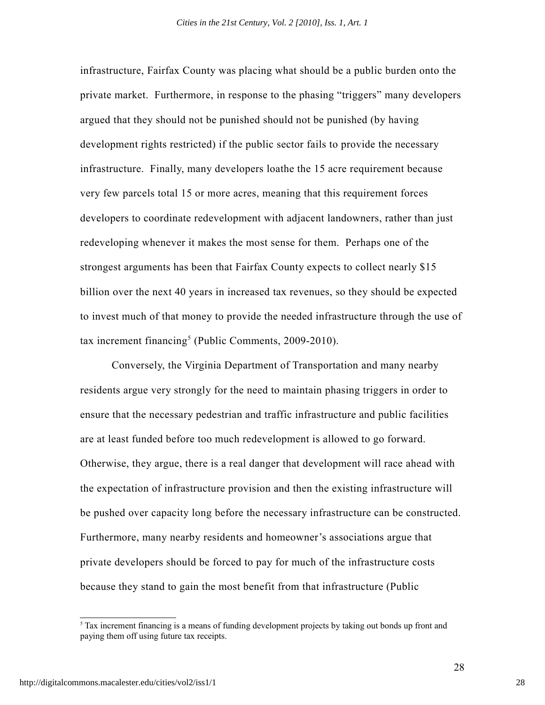infrastructure, Fairfax County was placing what should be a public burden onto the private market. Furthermore, in response to the phasing "triggers" many developers argued that they should not be punished should not be punished (by having development rights restricted) if the public sector fails to provide the necessary infrastructure. Finally, many developers loathe the 15 acre requirement because very few parcels total 15 or more acres, meaning that this requirement forces developers to coordinate redevelopment with adjacent landowners, rather than just redeveloping whenever it makes the most sense for them. Perhaps one of the strongest arguments has been that Fairfax County expects to collect nearly \$15 billion over the next 40 years in increased tax revenues, so they should be expected to invest much of that money to provide the needed infrastructure through the use of tax increment financing<sup>[5](#page-28-0)</sup> (Public Comments, 2009-2010).

Conversely, the Virginia Department of Transportation and many nearby residents argue very strongly for the need to maintain phasing triggers in order to ensure that the necessary pedestrian and traffic infrastructure and public facilities are at least funded before too much redevelopment is allowed to go forward. Otherwise, they argue, there is a real danger that development will race ahead with the expectation of infrastructure provision and then the existing infrastructure will be pushed over capacity long before the necessary infrastructure can be constructed. Furthermore, many nearby residents and homeowner's associations argue that private developers should be forced to pay for much of the infrastructure costs because they stand to gain the most benefit from that infrastructure (Public

<span id="page-28-0"></span><sup>&</sup>lt;sup>5</sup> Tax increment financing is a means of funding development projects by taking out bonds up front and paying them off using future tax receipts.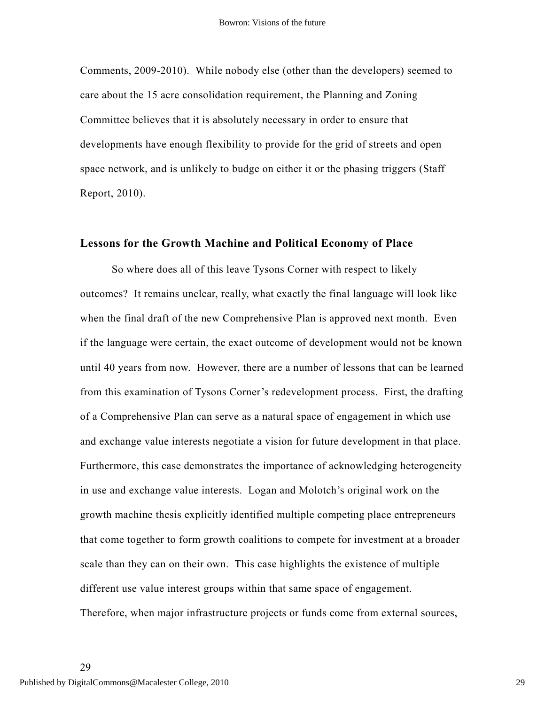Comments, 2009-2010). While nobody else (other than the developers) seemed to care about the 15 acre consolidation requirement, the Planning and Zoning Committee believes that it is absolutely necessary in order to ensure that developments have enough flexibility to provide for the grid of streets and open space network, and is unlikely to budge on either it or the phasing triggers (Staff Report, 2010).

#### **Lessons for the Growth Machine and Political Economy of Place**

So where does all of this leave Tysons Corner with respect to likely outcomes? It remains unclear, really, what exactly the final language will look like when the final draft of the new Comprehensive Plan is approved next month. Even if the language were certain, the exact outcome of development would not be known until 40 years from now. However, there are a number of lessons that can be learned from this examination of Tysons Corner's redevelopment process. First, the drafting of a Comprehensive Plan can serve as a natural space of engagement in which use and exchange value interests negotiate a vision for future development in that place. Furthermore, this case demonstrates the importance of acknowledging heterogeneity in use and exchange value interests. Logan and Molotch's original work on the growth machine thesis explicitly identified multiple competing place entrepreneurs that come together to form growth coalitions to compete for investment at a broader scale than they can on their own. This case highlights the existence of multiple different use value interest groups within that same space of engagement. Therefore, when major infrastructure projects or funds come from external sources,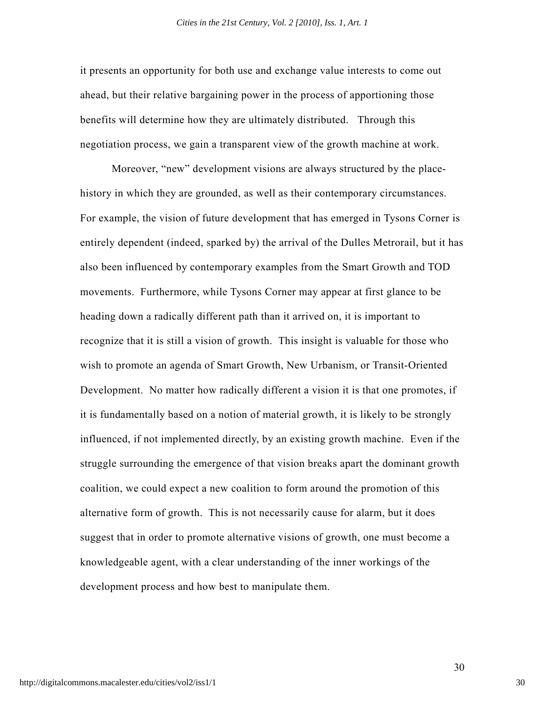it presents an opportunity for both use and exchange value interests to come out ahead, but their relative bargaining power in the process of apportioning those benefits will determine how they are ultimately distributed. Through this negotiation process, we gain a transparent view of the growth machine at work.

Moreover, "new" development visions are always structured by the placehistory in which they are grounded, as well as their contemporary circumstances. For example, the vision of future development that has emerged in Tysons Corner is entirely dependent (indeed, sparked by) the arrival of the Dulles Metrorail, but it has also been influenced by contemporary examples from the Smart Growth and TOD movements. Furthermore, while Tysons Corner may appear at first glance to be heading down a radically different path than it arrived on, it is important to recognize that it is still a vision of growth. This insight is valuable for those who wish to promote an agenda of Smart Growth, New Urbanism, or Transit-Oriented Development. No matter how radically different a vision it is that one promotes, if it is fundamentally based on a notion of material growth, it is likely to be strongly influenced, if not implemented directly, by an existing growth machine. Even if the struggle surrounding the emergence of that vision breaks apart the dominant growth coalition, we could expect a new coalition to form around the promotion of this alternative form of growth. This is not necessarily cause for alarm, but it does suggest that in order to promote alternative visions of growth, one must become a knowledgeable agent, with a clear understanding of the inner workings of the development process and how best to manipulate them.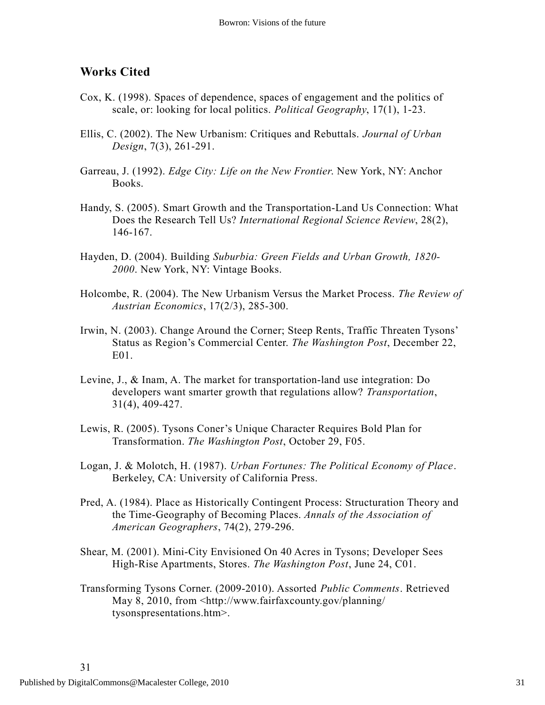# **Works Cited**

- Cox, K. (1998). Spaces of dependence, spaces of engagement and the politics of scale, or: looking for local politics. *Political Geography*, 17(1), 1-23.
- Ellis, C. (2002). The New Urbanism: Critiques and Rebuttals. *Journal of Urban Design*, 7(3), 261-291.
- Garreau, J. (1992). *Edge City: Life on the New Frontier*. New York, NY: Anchor Books.
- Handy, S. (2005). Smart Growth and the Transportation-Land Us Connection: What Does the Research Tell Us? *International Regional Science Review*, 28(2), 146-167.
- Hayden, D. (2004). Building *Suburbia: Green Fields and Urban Growth, 1820- 2000*. New York, NY: Vintage Books.
- Holcombe, R. (2004). The New Urbanism Versus the Market Process. *The Review of Austrian Economics*, 17(2/3), 285-300.
- Irwin, N. (2003). Change Around the Corner; Steep Rents, Traffic Threaten Tysons' Status as Region's Commercial Center. *The Washington Post*, December 22, E01.
- Levine, J., & Inam, A. The market for transportation-land use integration: Do developers want smarter growth that regulations allow? *Transportation*, 31(4), 409-427.
- Lewis, R. (2005). Tysons Coner's Unique Character Requires Bold Plan for Transformation. *The Washington Post*, October 29, F05.
- Logan, J. & Molotch, H. (1987). *Urban Fortunes: The Political Economy of Place*. Berkeley, CA: University of California Press.
- Pred, A. (1984). Place as Historically Contingent Process: Structuration Theory and the Time-Geography of Becoming Places. *Annals of the Association of American Geographers*, 74(2), 279-296.
- Shear, M. (2001). Mini-City Envisioned On 40 Acres in Tysons; Developer Sees High-Rise Apartments, Stores. *The Washington Post*, June 24, C01.
- Transforming Tysons Corner. (2009-2010). Assorted *Public Comments*. Retrieved May 8, 2010, from <http://www.fairfaxcounty.gov/planning/ tysonspresentations.htm>.